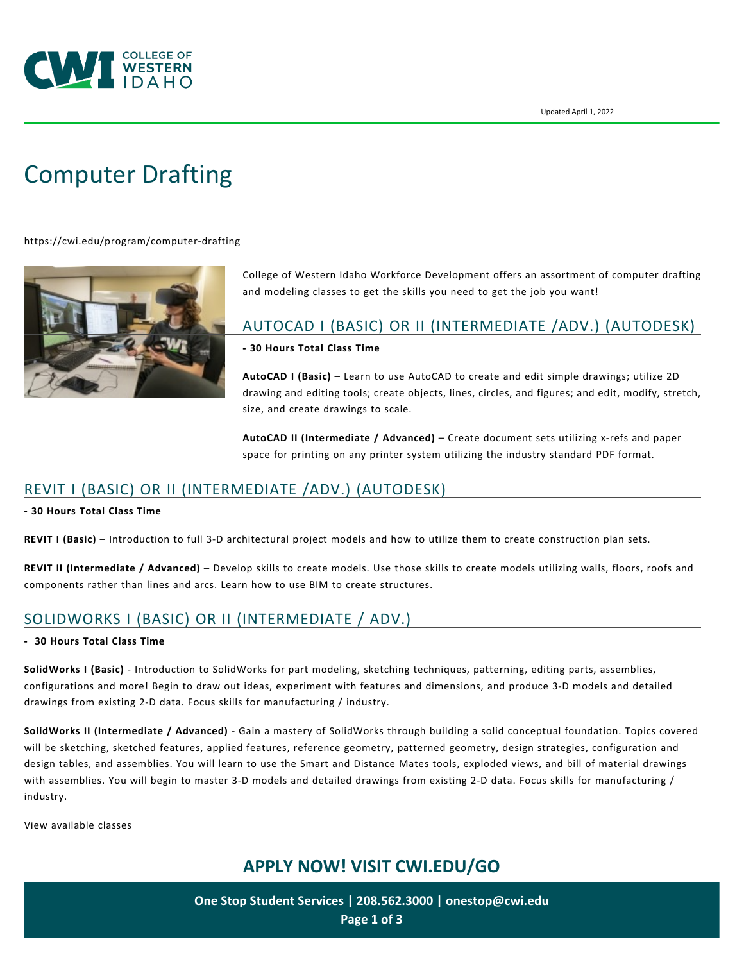

# [Computer Drafting](https://cwi.edu/program/computer-drafting)

<https://cwi.edu/program/computer-drafting>



College of Western Idaho Workforce Development offers an assortment of computer drafting and modeling classes to get the skills you need to get the job you want!

### AUTOCAD I (BASIC) OR II (INTERMEDIATE /ADV.) (AUTODESK)

**- 30 Hours Total Class Time** 

**AutoCAD I (Basic)** – Learn to use AutoCAD to create and edit simple drawings; utilize 2D drawing and editing tools; create objects, lines, circles, and figures; and edit, modify, stretch, size, and create drawings to scale.

**AutoCAD II (Intermediate / Advanced)** – Create document sets utilizing x-refs and paper space for printing on any printer system utilizing the industry standard PDF format.

## REVIT I (BASIC) OR II (INTERMEDIATE /ADV.) (AUTODESK)

**- 30 Hours Total Class Time** 

**REVIT I (Basic)** – Introduction to full 3-D architectural project models and how to utilize them to create construction plan sets.

**REVIT II (Intermediate / Advanced)** – Develop skills to create models. Use those skills to create models utilizing walls, floors, roofs and components rather than lines and arcs. Learn how to use BIM to create structures.

# SOLIDWORKS I (BASIC) OR II (INTERMEDIATE / ADV.)

#### **- 30 Hours Total Class Time**

**SolidWorks I (Basic)** - Introduction to SolidWorks for part modeling, sketching techniques, patterning, editing parts, assemblies, configurations and more! Begin to draw out ideas, experiment with features and dimensions, and produce 3-D models and detailed drawings from existing 2-D data. Focus skills for manufacturing / industry.

**SolidWorks II (Intermediate / Advanced)** - Gain a mastery of SolidWorks through building a solid conceptual foundation. Topics covered will be sketching, sketched features, applied features, reference geometry, patterned geometry, design strategies, configuration and design tables, and assemblies. You will learn to use the Smart and Distance Mates tools, exploded views, and bill of material drawings with assemblies. You will begin to master 3-D models and detailed drawings from existing 2-D data. Focus skills for manufacturing / industry.

[View available classes](https://cwi.augusoft.net/index.cfm?method=ClassListing.ClassListingDisplay&int_category_id=2&int_sub_category_id=6&int_catalog_id)

# **APPLY NOW! VISIT [CWI.EDU/GO](http://cwi.edu/go)**

**One Stop Student Services | 208.562.3000 | [onestop@cwi.edu](mailto:onestop@cwi.edu) Page 1 of 3**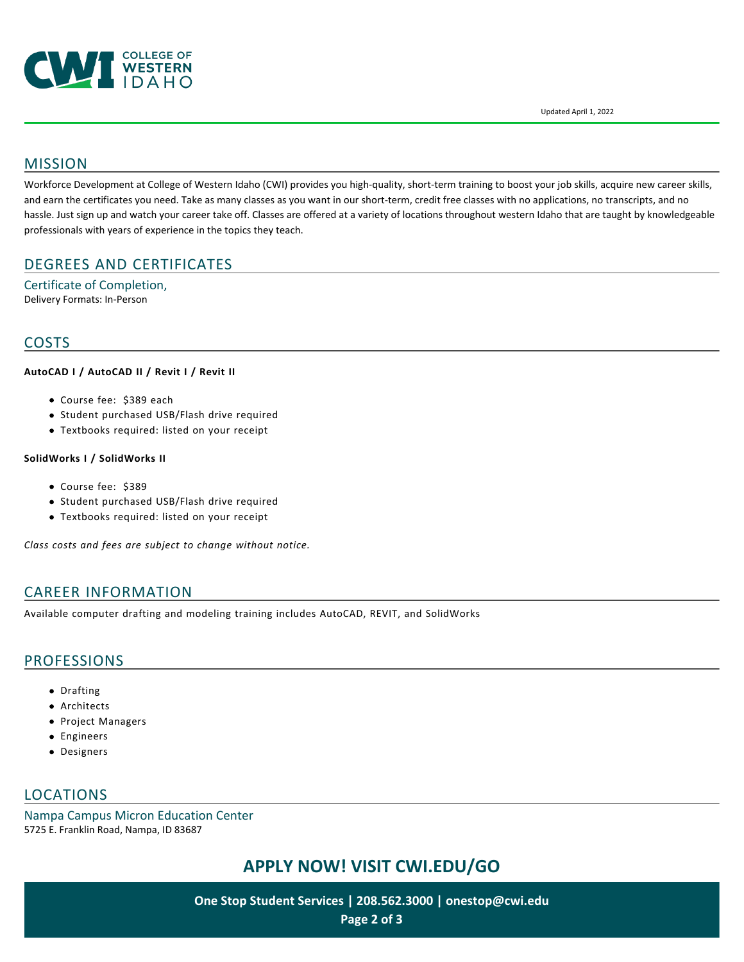

Updated April 1, 2022

### MISSION

Workforce Development at College of Western Idaho (CWI) provides you high-quality, short-term training to boost your job skills, acquire new career skills, and earn the certificates you need. Take as many classes as you want in our short-term, credit free classes with no applications, no transcripts, and no hassle. Just sign up and watch your career take off. Classes are offered at a variety of locations throughout western Idaho that are taught by knowledgeable professionals with years of experience in the topics they teach.

### DEGREES AND CERTIFICATES

Certificate of Completion, Delivery Formats: In-Person

### COSTS

#### **AutoCAD I / AutoCAD II / Revit I / Revit II**

- Course fee: \$389 each
- Student purchased USB/Flash drive required
- Textbooks required: listed on your receipt

#### **SolidWorks I / SolidWorks II**

- Course fee: \$389
- Student purchased USB/Flash drive required
- Textbooks required: listed on your receipt

*Class costs and fees are subject to change without notice.*

### CAREER INFORMATION

Available computer drafting and modeling training includes AutoCAD, REVIT, and SolidWorks

### PROFESSIONS

- Drafting
- Architects
- Project Managers
- Engineers
- Designers

### LOCATIONS

Nampa Campus Micron Education Center 5725 E. Franklin Road, Nampa, ID 83687

# **APPLY NOW! VISIT [CWI.EDU/GO](http://cwi.edu/go)**

**One Stop Student Services | 208.562.3000 | [onestop@cwi.edu](mailto:onestop@cwi.edu) Page 2 of 3**